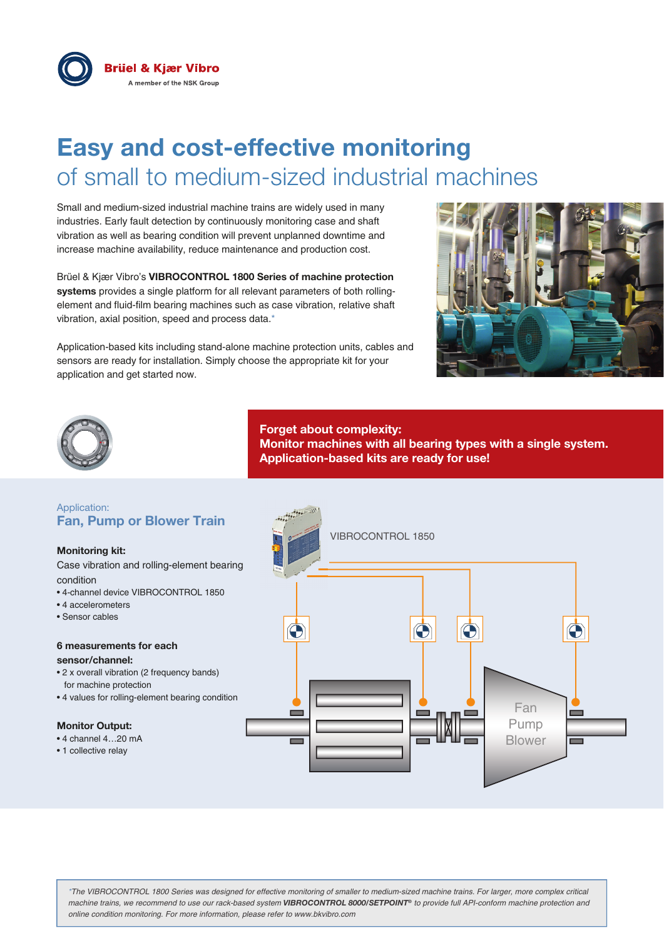

# **Easy and cost-effective monitoring** of small to medium-sized industrial machines

Small and medium-sized industrial machine trains are widely used in many industries. Early fault detection by continuously monitoring case and shaft vibration as well as bearing condition will prevent unplanned downtime and increase machine availability, reduce maintenance and production cost.

Brüel & Kjær Vibro's **VIBROCONTROL 1800 Series of machine protection systems** provides a single platform for all relevant parameters of both rollingelement and fluid-film bearing machines such as case vibration, relative shaft vibration, axial position, speed and process data.\*

Application-based kits including stand-alone machine protection units, cables and sensors are ready for installation. Simply choose the appropriate kit for your application and get started now.





**Forget about complexity: Monitor machines with all bearing types with a single system. Application-based kits are ready for use!**

## Application: **Fan, Pump or Blower Train**

#### **Monitoring kit:**

Case vibration and rolling-element bearing condition

- 4-channel device VIBROCONTROL 1850
- 4 accelerometers
- Sensor cables

## **6 measurements for each**

#### **sensor/channel:**

- 2 x overall vibration (2 frequency bands) for machine protection
- 4 values for rolling-element bearing condition

## **Monitor Output:**

- 4 channel 4…20 mA
- 1 collective relay



*\*The VIBROCONTROL 1800 Series was designed for effective monitoring of smaller to medium-sized machine trains. For larger, more complex critical machine trains, we recommend to use our rack-based system VIBROCONTROL 8000/SETPOINT® to provide full API-conform machine protection and online condition monitoring. For more information, please refer to www.bkvibro.com*